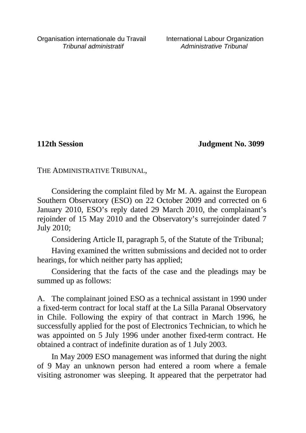**112th Session Judgment No. 3099**

THE ADMINISTRATIVE TRIBUNAL,

Considering the complaint filed by Mr M. A. against the European Southern Observatory (ESO) on 22 October 2009 and corrected on 6 January 2010, ESO's reply dated 29 March 2010, the complainant's rejoinder of 15 May 2010 and the Observatory's surrejoinder dated 7 July 2010;

Considering Article II, paragraph 5, of the Statute of the Tribunal;

Having examined the written submissions and decided not to order hearings, for which neither party has applied;

Considering that the facts of the case and the pleadings may be summed up as follows:

A. The complainant joined ESO as a technical assistant in 1990 under a fixed-term contract for local staff at the La Silla Paranal Observatory in Chile. Following the expiry of that contract in March 1996, he successfully applied for the post of Electronics Technician, to which he was appointed on 5 July 1996 under another fixed-term contract. He obtained a contract of indefinite duration as of 1 July 2003.

In May 2009 ESO management was informed that during the night of 9 May an unknown person had entered a room where a female visiting astronomer was sleeping. It appeared that the perpetrator had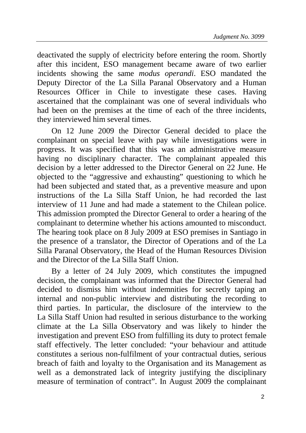deactivated the supply of electricity before entering the room. Shortly after this incident, ESO management became aware of two earlier incidents showing the same *modus operandi*. ESO mandated the Deputy Director of the La Silla Paranal Observatory and a Human Resources Officer in Chile to investigate these cases. Having ascertained that the complainant was one of several individuals who had been on the premises at the time of each of the three incidents, they interviewed him several times.

On 12 June 2009 the Director General decided to place the complainant on special leave with pay while investigations were in progress. It was specified that this was an administrative measure having no disciplinary character. The complainant appealed this decision by a letter addressed to the Director General on 22 June. He objected to the "aggressive and exhausting" questioning to which he had been subjected and stated that, as a preventive measure and upon instructions of the La Silla Staff Union, he had recorded the last interview of 11 June and had made a statement to the Chilean police. This admission prompted the Director General to order a hearing of the complainant to determine whether his actions amounted to misconduct. The hearing took place on 8 July 2009 at ESO premises in Santiago in the presence of a translator, the Director of Operations and of the La Silla Paranal Observatory, the Head of the Human Resources Division and the Director of the La Silla Staff Union.

By a letter of 24 July 2009, which constitutes the impugned decision, the complainant was informed that the Director General had decided to dismiss him without indemnities for secretly taping an internal and non-public interview and distributing the recording to third parties. In particular, the disclosure of the interview to the La Silla Staff Union had resulted in serious disturbance to the working climate at the La Silla Observatory and was likely to hinder the investigation and prevent ESO from fulfilling its duty to protect female staff effectively. The letter concluded: "your behaviour and attitude constitutes a serious non-fulfilment of your contractual duties, serious breach of faith and loyalty to the Organisation and its Management as well as a demonstrated lack of integrity justifying the disciplinary measure of termination of contract". In August 2009 the complainant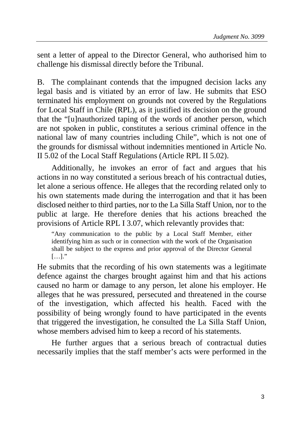sent a letter of appeal to the Director General, who authorised him to challenge his dismissal directly before the Tribunal.

B. The complainant contends that the impugned decision lacks any legal basis and is vitiated by an error of law. He submits that ESO terminated his employment on grounds not covered by the Regulations for Local Staff in Chile (RPL), as it justified its decision on the ground that the "[u]nauthorized taping of the words of another person, which are not spoken in public, constitutes a serious criminal offence in the national law of many countries including Chile", which is not one of the grounds for dismissal without indemnities mentioned in Article No. II 5.02 of the Local Staff Regulations (Article RPL II 5.02).

Additionally, he invokes an error of fact and argues that his actions in no way constituted a serious breach of his contractual duties, let alone a serious offence. He alleges that the recording related only to his own statements made during the interrogation and that it has been disclosed neither to third parties, nor to the La Silla Staff Union, nor to the public at large. He therefore denies that his actions breached the provisions of Article RPL I 3.07, which relevantly provides that:

"Any communication to the public by a Local Staff Member, either identifying him as such or in connection with the work of the Organisation shall be subject to the express and prior approval of the Director General  $[\ldots]$ ."

He submits that the recording of his own statements was a legitimate defence against the charges brought against him and that his actions caused no harm or damage to any person, let alone his employer. He alleges that he was pressured, persecuted and threatened in the course of the investigation, which affected his health. Faced with the possibility of being wrongly found to have participated in the events that triggered the investigation, he consulted the La Silla Staff Union, whose members advised him to keep a record of his statements.

He further argues that a serious breach of contractual duties necessarily implies that the staff member's acts were performed in the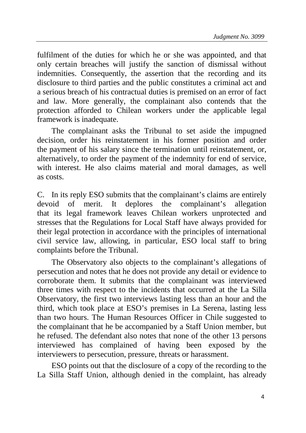fulfilment of the duties for which he or she was appointed, and that only certain breaches will justify the sanction of dismissal without indemnities. Consequently, the assertion that the recording and its disclosure to third parties and the public constitutes a criminal act and a serious breach of his contractual duties is premised on an error of fact and law. More generally, the complainant also contends that the protection afforded to Chilean workers under the applicable legal framework is inadequate.

The complainant asks the Tribunal to set aside the impugned decision, order his reinstatement in his former position and order the payment of his salary since the termination until reinstatement, or, alternatively, to order the payment of the indemnity for end of service, with interest. He also claims material and moral damages, as well as costs.

C. In its reply ESO submits that the complainant's claims are entirely devoid of merit. It deplores the complainant's allegation that its legal framework leaves Chilean workers unprotected and stresses that the Regulations for Local Staff have always provided for their legal protection in accordance with the principles of international civil service law, allowing, in particular, ESO local staff to bring complaints before the Tribunal.

The Observatory also objects to the complainant's allegations of persecution and notes that he does not provide any detail or evidence to corroborate them. It submits that the complainant was interviewed three times with respect to the incidents that occurred at the La Silla Observatory, the first two interviews lasting less than an hour and the third, which took place at ESO's premises in La Serena, lasting less than two hours. The Human Resources Officer in Chile suggested to the complainant that he be accompanied by a Staff Union member, but he refused. The defendant also notes that none of the other 13 persons interviewed has complained of having been exposed by the interviewers to persecution, pressure, threats or harassment.

ESO points out that the disclosure of a copy of the recording to the La Silla Staff Union, although denied in the complaint, has already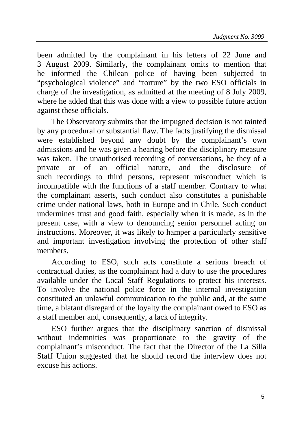been admitted by the complainant in his letters of 22 June and 3 August 2009. Similarly, the complainant omits to mention that he informed the Chilean police of having been subjected to "psychological violence" and "torture" by the two ESO officials in charge of the investigation, as admitted at the meeting of 8 July 2009, where he added that this was done with a view to possible future action against these officials.

The Observatory submits that the impugned decision is not tainted by any procedural or substantial flaw. The facts justifying the dismissal were established beyond any doubt by the complainant's own admissions and he was given a hearing before the disciplinary measure was taken. The unauthorised recording of conversations, be they of a private or of an official nature, and the disclosure of such recordings to third persons, represent misconduct which is incompatible with the functions of a staff member. Contrary to what the complainant asserts, such conduct also constitutes a punishable crime under national laws, both in Europe and in Chile. Such conduct undermines trust and good faith, especially when it is made, as in the present case, with a view to denouncing senior personnel acting on instructions. Moreover, it was likely to hamper a particularly sensitive and important investigation involving the protection of other staff members.

According to ESO, such acts constitute a serious breach of contractual duties, as the complainant had a duty to use the procedures available under the Local Staff Regulations to protect his interests. To involve the national police force in the internal investigation constituted an unlawful communication to the public and, at the same time, a blatant disregard of the loyalty the complainant owed to ESO as a staff member and, consequently, a lack of integrity.

ESO further argues that the disciplinary sanction of dismissal without indemnities was proportionate to the gravity of the complainant's misconduct. The fact that the Director of the La Silla Staff Union suggested that he should record the interview does not excuse his actions.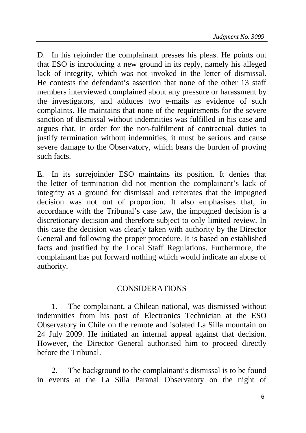D. In his rejoinder the complainant presses his pleas. He points out that ESO is introducing a new ground in its reply, namely his alleged lack of integrity, which was not invoked in the letter of dismissal. He contests the defendant's assertion that none of the other 13 staff members interviewed complained about any pressure or harassment by the investigators, and adduces two e-mails as evidence of such complaints. He maintains that none of the requirements for the severe sanction of dismissal without indemnities was fulfilled in his case and argues that, in order for the non-fulfilment of contractual duties to justify termination without indemnities, it must be serious and cause severe damage to the Observatory, which bears the burden of proving such facts.

E. In its surrejoinder ESO maintains its position. It denies that the letter of termination did not mention the complainant's lack of integrity as a ground for dismissal and reiterates that the impugned decision was not out of proportion. It also emphasises that, in accordance with the Tribunal's case law, the impugned decision is a discretionary decision and therefore subject to only limited review. In this case the decision was clearly taken with authority by the Director General and following the proper procedure. It is based on established facts and justified by the Local Staff Regulations. Furthermore, the complainant has put forward nothing which would indicate an abuse of authority.

## CONSIDERATIONS

1. The complainant, a Chilean national, was dismissed without indemnities from his post of Electronics Technician at the ESO Observatory in Chile on the remote and isolated La Silla mountain on 24 July 2009. He initiated an internal appeal against that decision. However, the Director General authorised him to proceed directly before the Tribunal.

2. The background to the complainant's dismissal is to be found in events at the La Silla Paranal Observatory on the night of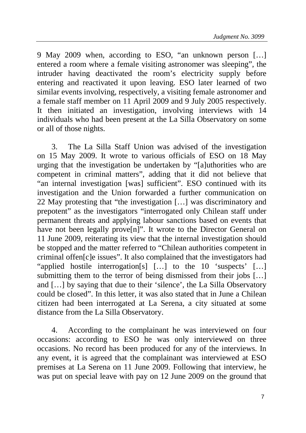9 May 2009 when, according to ESO, "an unknown person […] entered a room where a female visiting astronomer was sleeping", the intruder having deactivated the room's electricity supply before entering and reactivated it upon leaving. ESO later learned of two similar events involving, respectively, a visiting female astronomer and a female staff member on 11 April 2009 and 9 July 2005 respectively. It then initiated an investigation, involving interviews with 14 individuals who had been present at the La Silla Observatory on some or all of those nights.

3. The La Silla Staff Union was advised of the investigation on 15 May 2009. It wrote to various officials of ESO on 18 May urging that the investigation be undertaken by "[a]uthorities who are competent in criminal matters", adding that it did not believe that "an internal investigation [was] sufficient". ESO continued with its investigation and the Union forwarded a further communication on 22 May protesting that "the investigation […] was discriminatory and prepotent" as the investigators "interrogated only Chilean staff under permanent threats and applying labour sanctions based on events that have not been legally prove<sup>[n]</sup>". It wrote to the Director General on 11 June 2009, reiterating its view that the internal investigation should be stopped and the matter referred to "Chilean authorities competent in criminal offen[c]e issues". It also complained that the investigators had "applied hostile interrogation[s] […] to the 10 'suspects' […] submitting them to the terror of being dismissed from their jobs [...] and […] by saying that due to their 'silence', the La Silla Observatory could be closed". In this letter, it was also stated that in June a Chilean citizen had been interrogated at La Serena, a city situated at some distance from the La Silla Observatory.

4. According to the complainant he was interviewed on four occasions: according to ESO he was only interviewed on three occasions. No record has been produced for any of the interviews. In any event, it is agreed that the complainant was interviewed at ESO premises at La Serena on 11 June 2009. Following that interview, he was put on special leave with pay on 12 June 2009 on the ground that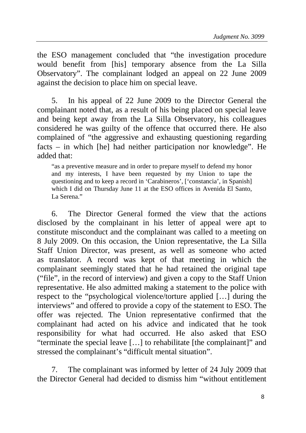the ESO management concluded that "the investigation procedure would benefit from [his] temporary absence from the La Silla Observatory". The complainant lodged an appeal on 22 June 2009 against the decision to place him on special leave.

5. In his appeal of 22 June 2009 to the Director General the complainant noted that, as a result of his being placed on special leave and being kept away from the La Silla Observatory, his colleagues considered he was guilty of the offence that occurred there. He also complained of "the aggressive and exhausting questioning regarding facts – in which [he] had neither participation nor knowledge". He added that:

"as a preventive measure and in order to prepare myself to defend my honor and my interests, I have been requested by my Union to tape the questioning and to keep a record in 'Carabineros', ['constancia', in Spanish] which I did on Thursday June 11 at the ESO offices in Avenida El Santo, La Serena<sup>"</sup>

6. The Director General formed the view that the actions disclosed by the complainant in his letter of appeal were apt to constitute misconduct and the complainant was called to a meeting on 8 July 2009. On this occasion, the Union representative, the La Silla Staff Union Director, was present, as well as someone who acted as translator. A record was kept of that meeting in which the complainant seemingly stated that he had retained the original tape ("file", in the record of interview) and given a copy to the Staff Union representative. He also admitted making a statement to the police with respect to the "psychological violence/torture applied […] during the interviews" and offered to provide a copy of the statement to ESO. The offer was rejected. The Union representative confirmed that the complainant had acted on his advice and indicated that he took responsibility for what had occurred. He also asked that ESO "terminate the special leave […] to rehabilitate [the complainant]" and stressed the complainant's "difficult mental situation".

7. The complainant was informed by letter of 24 July 2009 that the Director General had decided to dismiss him "without entitlement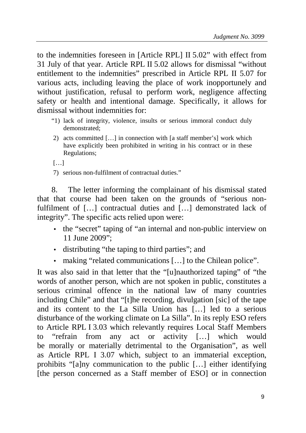to the indemnities foreseen in [Article RPL] II 5.02" with effect from 31 July of that year. Article RPL II 5.02 allows for dismissal "without entitlement to the indemnities" prescribed in Article RPL II 5.07 for various acts, including leaving the place of work inopportunely and without justification, refusal to perform work, negligence affecting safety or health and intentional damage. Specifically, it allows for dismissal without indemnities for:

- "1) lack of integrity, violence, insults or serious immoral conduct duly demonstrated;
- 2) acts committed […] in connection with [a staff member's] work which have explicitly been prohibited in writing in his contract or in these Regulations;

[…]

7) serious non-fulfilment of contractual duties."

8. The letter informing the complainant of his dismissal stated that that course had been taken on the grounds of "serious nonfulfilment of […] contractual duties and […] demonstrated lack of integrity". The specific acts relied upon were:

- the "secret" taping of "an internal and non-public interview on 11 June 2009";
- distributing "the taping to third parties"; and
- making "related communications […] to the Chilean police".

It was also said in that letter that the "[u]nauthorized taping" of "the words of another person, which are not spoken in public, constitutes a serious criminal offence in the national law of many countries including Chile" and that "[t]he recording, divulgation [sic] of the tape and its content to the La Silla Union has […] led to a serious disturbance of the working climate on La Silla". In its reply ESO refers to Article RPL I 3.03 which relevantly requires Local Staff Members to "refrain from any act or activity […] which would be morally or materially detrimental to the Organisation", as well as Article RPL I 3.07 which, subject to an immaterial exception, prohibits "[a]ny communication to the public […] either identifying [the person concerned as a Staff member of ESO] or in connection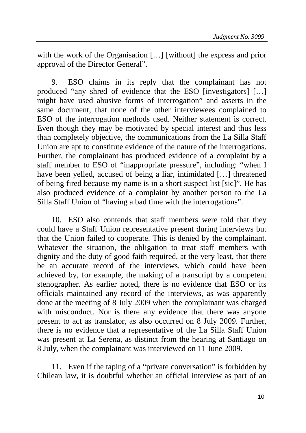with the work of the Organisation [...] [without] the express and prior approval of the Director General".

9. ESO claims in its reply that the complainant has not produced "any shred of evidence that the ESO [investigators] […] might have used abusive forms of interrogation" and asserts in the same document, that none of the other interviewees complained to ESO of the interrogation methods used. Neither statement is correct. Even though they may be motivated by special interest and thus less than completely objective, the communications from the La Silla Staff Union are apt to constitute evidence of the nature of the interrogations. Further, the complainant has produced evidence of a complaint by a staff member to ESO of "inappropriate pressure", including: "when I have been yelled, accused of being a liar, intimidated […] threatened of being fired because my name is in a short suspect list [sic]". He has also produced evidence of a complaint by another person to the La Silla Staff Union of "having a bad time with the interrogations".

10. ESO also contends that staff members were told that they could have a Staff Union representative present during interviews but that the Union failed to cooperate. This is denied by the complainant. Whatever the situation, the obligation to treat staff members with dignity and the duty of good faith required, at the very least, that there be an accurate record of the interviews, which could have been achieved by, for example, the making of a transcript by a competent stenographer. As earlier noted, there is no evidence that ESO or its officials maintained any record of the interviews, as was apparently done at the meeting of 8 July 2009 when the complainant was charged with misconduct. Nor is there any evidence that there was anyone present to act as translator, as also occurred on 8 July 2009. Further, there is no evidence that a representative of the La Silla Staff Union was present at La Serena, as distinct from the hearing at Santiago on 8 July, when the complainant was interviewed on 11 June 2009.

11. Even if the taping of a "private conversation" is forbidden by Chilean law, it is doubtful whether an official interview as part of an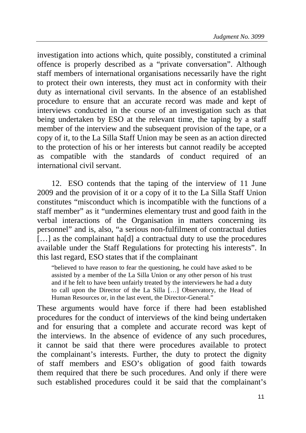investigation into actions which, quite possibly, constituted a criminal offence is properly described as a "private conversation". Although staff members of international organisations necessarily have the right to protect their own interests, they must act in conformity with their duty as international civil servants. In the absence of an established procedure to ensure that an accurate record was made and kept of interviews conducted in the course of an investigation such as that being undertaken by ESO at the relevant time, the taping by a staff member of the interview and the subsequent provision of the tape, or a copy of it, to the La Silla Staff Union may be seen as an action directed to the protection of his or her interests but cannot readily be accepted as compatible with the standards of conduct required of an international civil servant.

12. ESO contends that the taping of the interview of 11 June 2009 and the provision of it or a copy of it to the La Silla Staff Union constitutes "misconduct which is incompatible with the functions of a staff member" as it "undermines elementary trust and good faith in the verbal interactions of the Organisation in matters concerning its personnel" and is, also, "a serious non-fulfilment of contractual duties [...] as the complainant ha[d] a contractual duty to use the procedures available under the Staff Regulations for protecting his interests". In this last regard, ESO states that if the complainant

"believed to have reason to fear the questioning, he could have asked to be assisted by a member of the La Silla Union or any other person of his trust and if he felt to have been unfairly treated by the interviewers he had a duty to call upon the Director of the La Silla […] Observatory, the Head of Human Resources or, in the last event, the Director-General."

These arguments would have force if there had been established procedures for the conduct of interviews of the kind being undertaken and for ensuring that a complete and accurate record was kept of the interviews. In the absence of evidence of any such procedures, it cannot be said that there were procedures available to protect the complainant's interests. Further, the duty to protect the dignity of staff members and ESO's obligation of good faith towards them required that there be such procedures. And only if there were such established procedures could it be said that the complainant's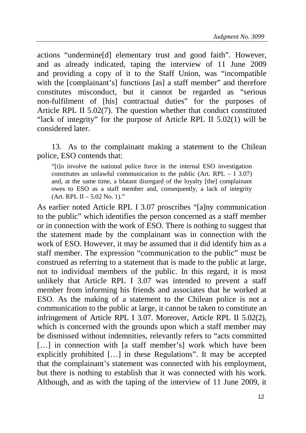actions "undermine[d] elementary trust and good faith". However, and as already indicated, taping the interview of 11 June 2009 and providing a copy of it to the Staff Union, was "incompatible with the [complainant's] functions [as] a staff member" and therefore constitutes misconduct, but it cannot be regarded as "serious non-fulfilment of [his] contractual duties" for the purposes of Article RPL II 5.02(7). The question whether that conduct constituted "lack of integrity" for the purpose of Article RPL II 5.02(1) will be considered later.

13. As to the complainant making a statement to the Chilean police, ESO contends that:

"[t]o involve the national police force in the internal ESO investigation constitutes an unlawful communication to the public (Art.  $RPL - I$  3.07) and, at the same time, a blatant disregard of the loyalty [the] complainant owes to ESO as a staff member and, consequently, a lack of integrity  $(Art. RPL II - 5.02 No. 1).$ "

As earlier noted Article RPL I 3.07 proscribes "[a]ny communication to the public" which identifies the person concerned as a staff member or in connection with the work of ESO. There is nothing to suggest that the statement made by the complainant was in connection with the work of ESO. However, it may be assumed that it did identify him as a staff member. The expression "communication to the public" must be construed as referring to a statement that is made to the public at large, not to individual members of the public. In this regard, it is most unlikely that Article RPL I 3.07 was intended to prevent a staff member from informing his friends and associates that he worked at ESO. As the making of a statement to the Chilean police is not a communication to the public at large, it cannot be taken to constitute an infringement of Article RPL I 3.07. Moreover, Article RPL II 5.02(2), which is concerned with the grounds upon which a staff member may be dismissed without indemnities, relevantly refers to "acts committed [...] in connection with [a staff member's] work which have been explicitly prohibited […] in these Regulations". It may be accepted that the complainant's statement was connected with his employment, but there is nothing to establish that it was connected with his work. Although, and as with the taping of the interview of 11 June 2009, it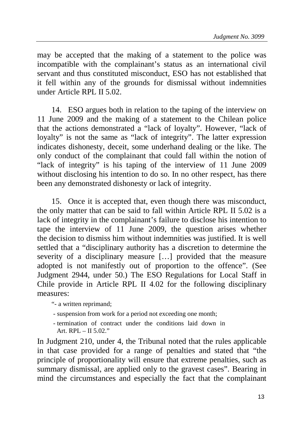may be accepted that the making of a statement to the police was incompatible with the complainant's status as an international civil servant and thus constituted misconduct, ESO has not established that it fell within any of the grounds for dismissal without indemnities under Article RPL II 5.02.

14. ESO argues both in relation to the taping of the interview on 11 June 2009 and the making of a statement to the Chilean police that the actions demonstrated a "lack of loyalty". However, "lack of loyalty" is not the same as "lack of integrity". The latter expression indicates dishonesty, deceit, some underhand dealing or the like. The only conduct of the complainant that could fall within the notion of "lack of integrity" is his taping of the interview of 11 June 2009 without disclosing his intention to do so. In no other respect, has there been any demonstrated dishonesty or lack of integrity.

15. Once it is accepted that, even though there was misconduct, the only matter that can be said to fall within Article RPL II 5.02 is a lack of integrity in the complainant's failure to disclose his intention to tape the interview of 11 June 2009, the question arises whether the decision to dismiss him without indemnities was justified. It is well settled that a "disciplinary authority has a discretion to determine the severity of a disciplinary measure […] provided that the measure adopted is not manifestly out of proportion to the offence". (See Judgment 2944, under 50.) The ESO Regulations for Local Staff in Chile provide in Article RPL II 4.02 for the following disciplinary measures:

"- a written reprimand;

- suspension from work for a period not exceeding one month;

 - termination of contract under the conditions laid down in Art. RPL  $-$  II 5.02."

In Judgment 210, under 4, the Tribunal noted that the rules applicable in that case provided for a range of penalties and stated that "the principle of proportionality will ensure that extreme penalties, such as summary dismissal, are applied only to the gravest cases". Bearing in mind the circumstances and especially the fact that the complainant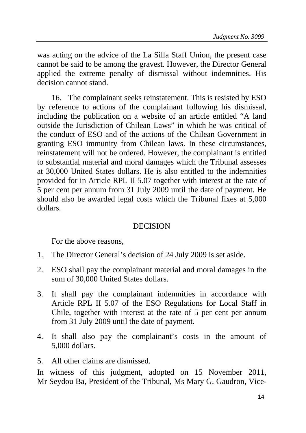was acting on the advice of the La Silla Staff Union, the present case cannot be said to be among the gravest. However, the Director General applied the extreme penalty of dismissal without indemnities. His decision cannot stand.

16. The complainant seeks reinstatement. This is resisted by ESO by reference to actions of the complainant following his dismissal, including the publication on a website of an article entitled "A land outside the Jurisdiction of Chilean Laws" in which he was critical of the conduct of ESO and of the actions of the Chilean Government in granting ESO immunity from Chilean laws. In these circumstances, reinstatement will not be ordered. However, the complainant is entitled to substantial material and moral damages which the Tribunal assesses at 30,000 United States dollars. He is also entitled to the indemnities provided for in Article RPL II 5.07 together with interest at the rate of 5 per cent per annum from 31 July 2009 until the date of payment. He should also be awarded legal costs which the Tribunal fixes at 5,000 dollars.

## **DECISION**

For the above reasons,

- 1. The Director General's decision of 24 July 2009 is set aside.
- 2. ESO shall pay the complainant material and moral damages in the sum of 30,000 United States dollars.
- 3. It shall pay the complainant indemnities in accordance with Article RPL II 5.07 of the ESO Regulations for Local Staff in Chile, together with interest at the rate of 5 per cent per annum from 31 July 2009 until the date of payment.
- 4. It shall also pay the complainant's costs in the amount of 5,000 dollars.
- 5. All other claims are dismissed.

In witness of this judgment, adopted on 15 November 2011, Mr Seydou Ba, President of the Tribunal, Ms Mary G. Gaudron, Vice